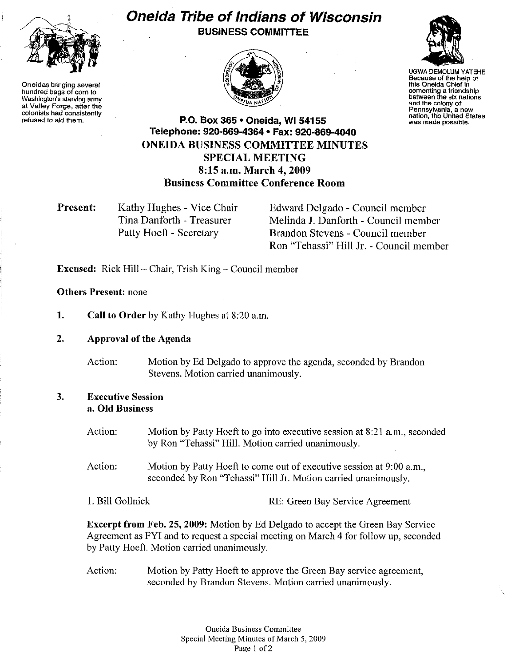

**Oneidas bringing several hundred bags of corn to Washington's starving army at Valley Forge, after the colonists had consistently refused to** ald **them.**

## **Oneida Tribe of Indians of Wisconsin BUSINESS COMMITTEE**





UGWA DEMOLUM YATEHE **Because of the help of this Oneida Chief in cementing a friendshIp between the six nations and the colony of Pennsylvania, a new nation, the United States was made possible.**

**P.O. Box 365· Oneida, WI 54155 Telephone: 920-869-4364 • Fax: 920-869-4040 ONEIDA BUSINESS COMMITTEE MINUTES SPECIAL MEETING 8:15** a.m, **March 4, 2009 Business Committee Conference Room**

**Present:** Kathy Hughes - Vice Chair Tina Danforth - Treasurer Patty Hoeft - Secretary

Edward Delgado - Council member Melinda J. Danforth - Council member Brandon Stevens - Council member Ron "Tehassi" **Hill J**r. - Council member

**Excused:** Rick Hill – Chair, Trish King – Council member

## **Others Present:** none

**1. Call to Order** by Kathy Hughes at 8:20 a.m.

**2. Approval of the Agenda**

Action: Motion by Ed Delgado to approve the agenda, seconded by Brandon Stevens. Motion carried unanimously.

## **3. Executive Session a. Old Business**

- Action: Motion by Patty Hoeft to go into executive session at 8:21 a.m., seconded by Ron "Tehassi" Hill. Motion carried unanimously.
- Action: Motion by Patty Hoeft to come out of executive session at 9:00 a.m., seconded by Ron "Tehassi" Hill Jr. Motion carried unanimously.
- 1. Bill Gollnick RE: Green Bay Service Agreement

**Excerpt from Feb. 25, 2009:** Motion by Ed Delgado to accept the Green Bay Service Agreement as FYI and to request a special meeting on March 4 for follow up, seconded by Patty Hoeft. Motion carried unanimously.

Action: Motion by Patty Hoeft to approve the Green Bay service agreement, seconded by Brandon Stevens. Motion carried unanimously.